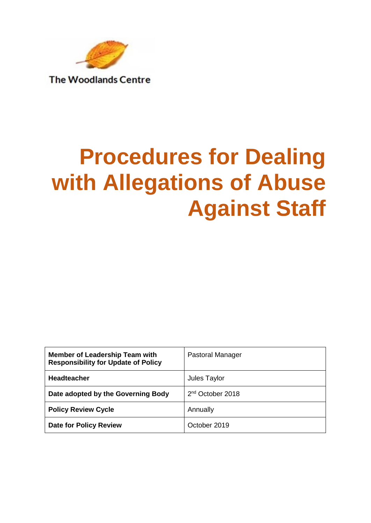

**The Woodlands Centre** 

# **Procedures for Dealing with Allegations of Abuse Against Staff**

| <b>Member of Leadership Team with</b><br><b>Responsibility for Update of Policy</b> | <b>Pastoral Manager</b>      |
|-------------------------------------------------------------------------------------|------------------------------|
| <b>Headteacher</b>                                                                  | Jules Taylor                 |
| Date adopted by the Governing Body                                                  | 2 <sup>nd</sup> October 2018 |
| <b>Policy Review Cycle</b>                                                          | Annually                     |
| <b>Date for Policy Review</b>                                                       | October 2019                 |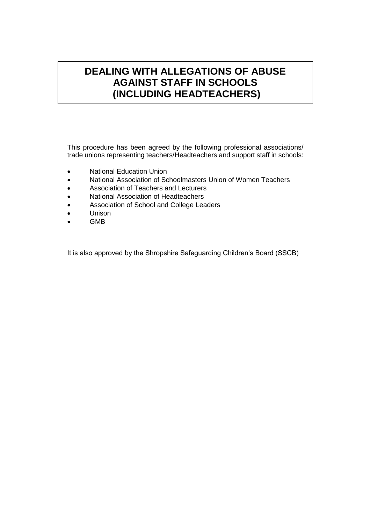# **DEALING WITH ALLEGATIONS OF ABUSE AGAINST STAFF IN SCHOOLS (INCLUDING HEADTEACHERS)**

This procedure has been agreed by the following professional associations/ trade unions representing teachers/Headteachers and support staff in schools:

- National Education Union
- National Association of Schoolmasters Union of Women Teachers
- Association of Teachers and Lecturers
- National Association of Headteachers
- Association of School and College Leaders
- Unison
- GMB

It is also approved by the Shropshire Safeguarding Children's Board (SSCB)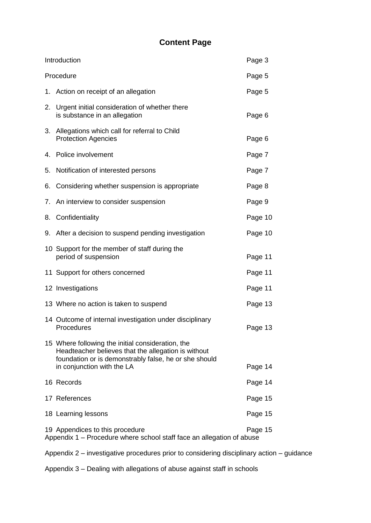# **Content Page**

|           | Introduction                                                                                                                                                                                    | Page 3  |
|-----------|-------------------------------------------------------------------------------------------------------------------------------------------------------------------------------------------------|---------|
| Procedure |                                                                                                                                                                                                 | Page 5  |
|           | 1. Action on receipt of an allegation                                                                                                                                                           | Page 5  |
| 2.        | Urgent initial consideration of whether there<br>is substance in an allegation                                                                                                                  | Page 6  |
| 3.        | Allegations which call for referral to Child<br><b>Protection Agencies</b>                                                                                                                      | Page 6  |
| 4.        | Police involvement                                                                                                                                                                              | Page 7  |
| 5.        | Notification of interested persons                                                                                                                                                              | Page 7  |
| 6.        | Considering whether suspension is appropriate                                                                                                                                                   | Page 8  |
| 7.        | An interview to consider suspension                                                                                                                                                             | Page 9  |
| 8.        | Confidentiality                                                                                                                                                                                 | Page 10 |
|           | 9. After a decision to suspend pending investigation                                                                                                                                            | Page 10 |
|           | 10 Support for the member of staff during the<br>period of suspension                                                                                                                           | Page 11 |
|           | 11 Support for others concerned                                                                                                                                                                 | Page 11 |
|           | 12 Investigations                                                                                                                                                                               | Page 11 |
|           | 13 Where no action is taken to suspend                                                                                                                                                          | Page 13 |
|           | 14 Outcome of internal investigation under disciplinary<br>Procedures                                                                                                                           | Page 13 |
|           | 15 Where following the initial consideration, the<br>Headteacher believes that the allegation is without<br>foundation or is demonstrably false, he or she should<br>in conjunction with the LA | Page 14 |
|           | 16 Records                                                                                                                                                                                      | Page 14 |
|           | 17 References                                                                                                                                                                                   | Page 15 |
|           | 18 Learning lessons                                                                                                                                                                             | Page 15 |
|           | 19 Appendices to this procedure<br>Appendix 1 – Procedure where school staff face an allegation of abuse                                                                                        | Page 15 |

Appendix 2 – investigative procedures prior to considering disciplinary action – guidance

Appendix 3 – Dealing with allegations of abuse against staff in schools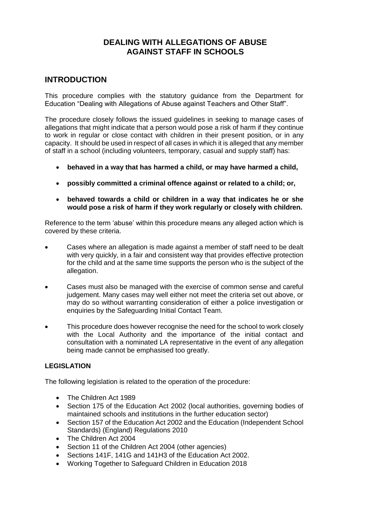# **DEALING WITH ALLEGATIONS OF ABUSE AGAINST STAFF IN SCHOOLS**

# **INTRODUCTION**

This procedure complies with the statutory guidance from the Department for Education "Dealing with Allegations of Abuse against Teachers and Other Staff".

The procedure closely follows the issued guidelines in seeking to manage cases of allegations that might indicate that a person would pose a risk of harm if they continue to work in regular or close contact with children in their present position, or in any capacity. It should be used in respect of all cases in which it is alleged that any member of staff in a school (including volunteers, temporary, casual and supply staff) has:

- **behaved in a way that has harmed a child, or may have harmed a child,**
- **possibly committed a criminal offence against or related to a child; or,**
- **behaved towards a child or children in a way that indicates he or she would pose a risk of harm if they work regularly or closely with children.**

Reference to the term 'abuse' within this procedure means any alleged action which is covered by these criteria.

- Cases where an allegation is made against a member of staff need to be dealt with very quickly, in a fair and consistent way that provides effective protection for the child and at the same time supports the person who is the subject of the allegation.
- Cases must also be managed with the exercise of common sense and careful judgement. Many cases may well either not meet the criteria set out above, or may do so without warranting consideration of either a police investigation or enquiries by the Safeguarding Initial Contact Team.
- This procedure does however recognise the need for the school to work closely with the Local Authority and the importance of the initial contact and consultation with a nominated LA representative in the event of any allegation being made cannot be emphasised too greatly.

### **LEGISLATION**

The following legislation is related to the operation of the procedure:

- The Children Act 1989
- Section 175 of the Education Act 2002 (local authorities, governing bodies of maintained schools and institutions in the further education sector)
- Section 157 of the Education Act 2002 and the Education (Independent School Standards) (England) Regulations 2010
- The Children Act 2004
- Section 11 of the Children Act 2004 (other agencies)
- Sections 141F, 141G and 141H3 of the Education Act 2002.
- Working Together to Safeguard Children in Education 2018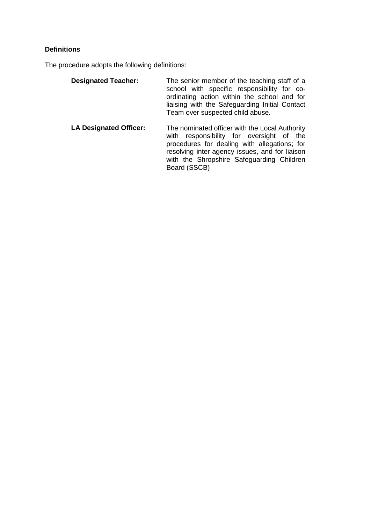# **Definitions**

The procedure adopts the following definitions:

| <b>Designated Teacher:</b>    | The senior member of the teaching staff of a<br>school with specific responsibility for co-<br>ordinating action within the school and for<br>liaising with the Safeguarding Initial Contact<br>Team over suspected child abuse.                             |
|-------------------------------|--------------------------------------------------------------------------------------------------------------------------------------------------------------------------------------------------------------------------------------------------------------|
| <b>LA Designated Officer:</b> | The nominated officer with the Local Authority<br>responsibility for oversight of the<br>with<br>procedures for dealing with allegations; for<br>resolving inter-agency issues, and for liaison<br>with the Shropshire Safeguarding Children<br>Board (SSCB) |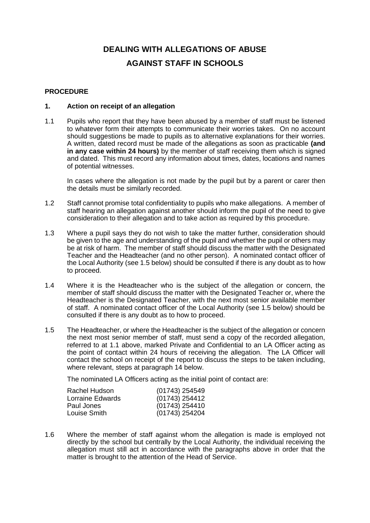# **DEALING WITH ALLEGATIONS OF ABUSE AGAINST STAFF IN SCHOOLS**

#### **PROCEDURE**

#### **1. Action on receipt of an allegation**

1.1 Pupils who report that they have been abused by a member of staff must be listened to whatever form their attempts to communicate their worries takes. On no account should suggestions be made to pupils as to alternative explanations for their worries. A written, dated record must be made of the allegations as soon as practicable **(and in any case within 24 hours)** by the member of staff receiving them which is signed and dated. This must record any information about times, dates, locations and names of potential witnesses.

In cases where the allegation is not made by the pupil but by a parent or carer then the details must be similarly recorded.

- 1.2 Staff cannot promise total confidentiality to pupils who make allegations. A member of staff hearing an allegation against another should inform the pupil of the need to give consideration to their allegation and to take action as required by this procedure.
- 1.3 Where a pupil says they do not wish to take the matter further, consideration should be given to the age and understanding of the pupil and whether the pupil or others may be at risk of harm. The member of staff should discuss the matter with the Designated Teacher and the Headteacher (and no other person). A nominated contact officer of the Local Authority (see 1.5 below) should be consulted if there is any doubt as to how to proceed.
- 1.4 Where it is the Headteacher who is the subject of the allegation or concern, the member of staff should discuss the matter with the Designated Teacher or, where the Headteacher is the Designated Teacher, with the next most senior available member of staff. A nominated contact officer of the Local Authority (see 1.5 below) should be consulted if there is any doubt as to how to proceed.
- 1.5 The Headteacher, or where the Headteacher is the subject of the allegation or concern the next most senior member of staff, must send a copy of the recorded allegation, referred to at 1.1 above, marked Private and Confidential to an LA Officer acting as the point of contact within 24 hours of receiving the allegation. The LA Officer will contact the school on receipt of the report to discuss the steps to be taken including, where relevant, steps at paragraph 14 below.

The nominated LA Officers acting as the initial point of contact are:

| Rachel Hudson    | $(01743)$ 254549 |
|------------------|------------------|
| Lorraine Edwards | (01743) 254412   |
| Paul Jones       | (01743) 254410   |
| Louise Smith     | $(01743)$ 254204 |

1.6 Where the member of staff against whom the allegation is made is employed not directly by the school but centrally by the Local Authority, the individual receiving the allegation must still act in accordance with the paragraphs above in order that the matter is brought to the attention of the Head of Service.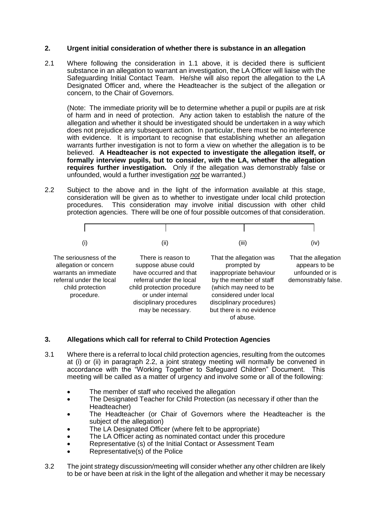#### **2. Urgent initial consideration of whether there is substance in an allegation**

2.1 Where following the consideration in 1.1 above, it is decided there is sufficient substance in an allegation to warrant an investigation, the LA Officer will liaise with the Safeguarding Initial Contact Team. He/she will also report the allegation to the LA Designated Officer and, where the Headteacher is the subject of the allegation or concern, to the Chair of Governors.

(Note: The immediate priority will be to determine whether a pupil or pupils are at risk of harm and in need of protection. Any action taken to establish the nature of the allegation and whether it should be investigated should be undertaken in a way which does not prejudice any subsequent action. In particular, there must be no interference with evidence. It is important to recognise that establishing whether an allegation warrants further investigation is not to form a view on whether the allegation is to be believed. **A Headteacher is not expected to investigate the allegation itself, or formally interview pupils, but to consider, with the LA, whether the allegation requires further investigation.** Only if the allegation was demonstrably false or unfounded, would a further investigation *not* be warranted.)

2.2 Subject to the above and in the light of the information available at this stage, consideration will be given as to whether to investigate under local child protection procedures. This consideration may involve initial discussion with other child protection agencies. There will be one of four possible outcomes of that consideration.



#### **3. Allegations which call for referral to Child Protection Agencies**

- 3.1 Where there is a referral to local child protection agencies, resulting from the outcomes at (i) or (ii) in paragraph 2.2, a joint strategy meeting will normally be convened in accordance with the "Working Together to Safeguard Children" Document. This meeting will be called as a matter of urgency and involve some or all of the following:
	- The member of staff who received the allegation
	- The Designated Teacher for Child Protection (as necessary if other than the Headteacher)
	- The Headteacher (or Chair of Governors where the Headteacher is the subject of the allegation)
	- The LA Designated Officer (where felt to be appropriate)
	- The LA Officer acting as nominated contact under this procedure
	- Representative (s) of the Initial Contact or Assessment Team
	- Representative(s) of the Police
- 3.2 The joint strategy discussion/meeting will consider whether any other children are likely to be or have been at risk in the light of the allegation and whether it may be necessary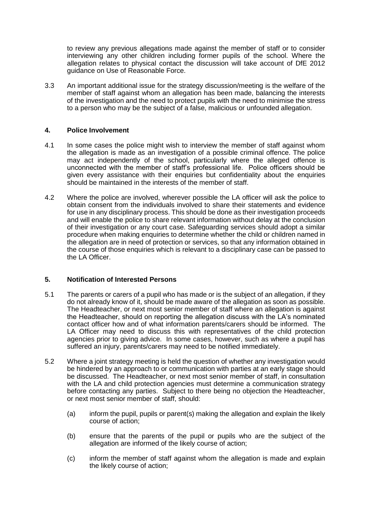to review any previous allegations made against the member of staff or to consider interviewing any other children including former pupils of the school. Where the allegation relates to physical contact the discussion will take account of DfE 2012 guidance on Use of Reasonable Force.

3.3 An important additional issue for the strategy discussion/meeting is the welfare of the member of staff against whom an allegation has been made, balancing the interests of the investigation and the need to protect pupils with the need to minimise the stress to a person who may be the subject of a false, malicious or unfounded allegation.

#### **4. Police Involvement**

- 4.1 In some cases the police might wish to interview the member of staff against whom the allegation is made as an investigation of a possible criminal offence. The police may act independently of the school, particularly where the alleged offence is unconnected with the member of staff's professional life. Police officers should be given every assistance with their enquiries but confidentiality about the enquiries should be maintained in the interests of the member of staff.
- 4.2 Where the police are involved, wherever possible the LA officer will ask the police to obtain consent from the individuals involved to share their statements and evidence for use in any disciplinary process. This should be done as their investigation proceeds and will enable the police to share relevant information without delay at the conclusion of their investigation or any court case. Safeguarding services should adopt a similar procedure when making enquiries to determine whether the child or children named in the allegation are in need of protection or services, so that any information obtained in the course of those enquiries which is relevant to a disciplinary case can be passed to the LA Officer.

#### **5. Notification of Interested Persons**

- 5.1 The parents or carers of a pupil who has made or is the subject of an allegation, if they do not already know of it, should be made aware of the allegation as soon as possible. The Headteacher, or next most senior member of staff where an allegation is against the Headteacher, should on reporting the allegation discuss with the LA's nominated contact officer how and of what information parents/carers should be informed. The LA Officer may need to discuss this with representatives of the child protection agencies prior to giving advice. In some cases, however, such as where a pupil has suffered an injury, parents/carers may need to be notified immediately.
- 5.2 Where a joint strategy meeting is held the question of whether any investigation would be hindered by an approach to or communication with parties at an early stage should be discussed. The Headteacher, or next most senior member of staff, in consultation with the LA and child protection agencies must determine a communication strategy before contacting any parties. Subject to there being no objection the Headteacher, or next most senior member of staff, should:
	- (a) inform the pupil, pupils or parent(s) making the allegation and explain the likely course of action;
	- (b) ensure that the parents of the pupil or pupils who are the subject of the allegation are informed of the likely course of action;
	- (c) inform the member of staff against whom the allegation is made and explain the likely course of action;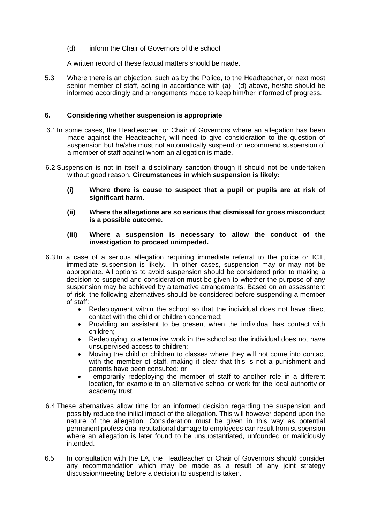(d) inform the Chair of Governors of the school.

A written record of these factual matters should be made.

5.3 Where there is an objection, such as by the Police, to the Headteacher, or next most senior member of staff, acting in accordance with (a) - (d) above, he/she should be informed accordingly and arrangements made to keep him/her informed of progress.

#### **6. Considering whether suspension is appropriate**

- 6.1In some cases, the Headteacher, or Chair of Governors where an allegation has been made against the Headteacher, will need to give consideration to the question of suspension but he/she must not automatically suspend or recommend suspension of a member of staff against whom an allegation is made.
- 6.2 Suspension is not in itself a disciplinary sanction though it should not be undertaken without good reason. **Circumstances in which suspension is likely:**
	- **(i) Where there is cause to suspect that a pupil or pupils are at risk of significant harm.**
	- **(ii) Where the allegations are so serious that dismissal for gross misconduct is a possible outcome.**

#### **(iii) Where a suspension is necessary to allow the conduct of the investigation to proceed unimpeded.**

- 6.3 In a case of a serious allegation requiring immediate referral to the police or ICT, immediate suspension is likely. In other cases, suspension may or may not be appropriate. All options to avoid suspension should be considered prior to making a decision to suspend and consideration must be given to whether the purpose of any suspension may be achieved by alternative arrangements. Based on an assessment of risk, the following alternatives should be considered before suspending a member of staff:
	- Redeployment within the school so that the individual does not have direct contact with the child or children concerned;
	- Providing an assistant to be present when the individual has contact with children;
	- Redeploying to alternative work in the school so the individual does not have unsupervised access to children;
	- Moving the child or children to classes where they will not come into contact with the member of staff, making it clear that this is not a punishment and parents have been consulted; or
	- Temporarily redeploying the member of staff to another role in a different location, for example to an alternative school or work for the local authority or academy trust.
- 6.4 These alternatives allow time for an informed decision regarding the suspension and possibly reduce the initial impact of the allegation. This will however depend upon the nature of the allegation. Consideration must be given in this way as potential permanent professional reputational damage to employees can result from suspension where an allegation is later found to be unsubstantiated, unfounded or maliciously intended.
- 6.5 In consultation with the LA, the Headteacher or Chair of Governors should consider any recommendation which may be made as a result of any joint strategy discussion/meeting before a decision to suspend is taken.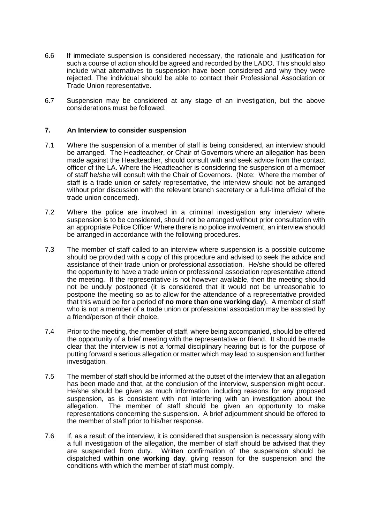- 6.6 If immediate suspension is considered necessary, the rationale and justification for such a course of action should be agreed and recorded by the LADO. This should also include what alternatives to suspension have been considered and why they were rejected. The individual should be able to contact their Professional Association or Trade Union representative.
- 6.7 Suspension may be considered at any stage of an investigation, but the above considerations must be followed.

#### **7. An Interview to consider suspension**

- 7.1 Where the suspension of a member of staff is being considered, an interview should be arranged. The Headteacher, or Chair of Governors where an allegation has been made against the Headteacher, should consult with and seek advice from the contact officer of the LA. Where the Headteacher is considering the suspension of a member of staff he/she will consult with the Chair of Governors. (Note: Where the member of staff is a trade union or safety representative, the interview should not be arranged without prior discussion with the relevant branch secretary or a full-time official of the trade union concerned).
- 7.2 Where the police are involved in a criminal investigation any interview where suspension is to be considered, should not be arranged without prior consultation with an appropriate Police Officer Where there is no police involvement, an interview should be arranged in accordance with the following procedures.
- 7.3 The member of staff called to an interview where suspension is a possible outcome should be provided with a copy of this procedure and advised to seek the advice and assistance of their trade union or professional association. He/she should be offered the opportunity to have a trade union or professional association representative attend the meeting. If the representative is not however available, then the meeting should not be unduly postponed (it is considered that it would not be unreasonable to postpone the meeting so as to allow for the attendance of a representative provided that this would be for a period of **no more than one working day**). A member of staff who is not a member of a trade union or professional association may be assisted by a friend/person of their choice.
- 7.4 Prior to the meeting, the member of staff, where being accompanied, should be offered the opportunity of a brief meeting with the representative or friend. It should be made clear that the interview is not a formal disciplinary hearing but is for the purpose of putting forward a serious allegation or matter which may lead to suspension and further investigation.
- 7.5 The member of staff should be informed at the outset of the interview that an allegation has been made and that, at the conclusion of the interview, suspension might occur. He/she should be given as much information, including reasons for any proposed suspension, as is consistent with not interfering with an investigation about the allegation. The member of staff should be given an opportunity to make representations concerning the suspension. A brief adjournment should be offered to the member of staff prior to his/her response.
- 7.6 If, as a result of the interview, it is considered that suspension is necessary along with a full investigation of the allegation, the member of staff should be advised that they are suspended from duty. Written confirmation of the suspension should be dispatched **within one working day**, giving reason for the suspension and the conditions with which the member of staff must comply.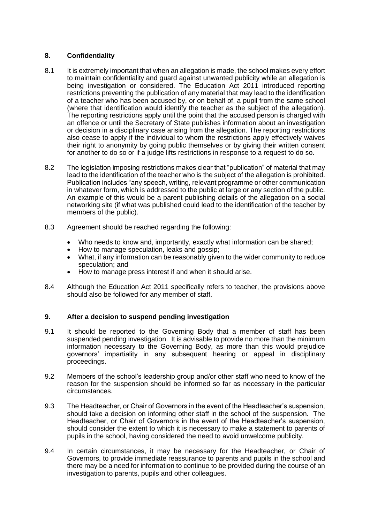#### **8. Confidentiality**

- 8.1 It is extremely important that when an allegation is made, the school makes every effort to maintain confidentiality and guard against unwanted publicity while an allegation is being investigation or considered. The Education Act 2011 introduced reporting restrictions preventing the publication of any material that may lead to the identification of a teacher who has been accused by, or on behalf of, a pupil from the same school (where that identification would identify the teacher as the subject of the allegation). The reporting restrictions apply until the point that the accused person is charged with an offence or until the Secretary of State publishes information about an investigation or decision in a disciplinary case arising from the allegation. The reporting restrictions also cease to apply if the individual to whom the restrictions apply effectively waives their right to anonymity by going public themselves or by giving their written consent for another to do so or if a judge lifts restrictions in response to a request to do so.
- 8.2 The legislation imposing restrictions makes clear that "publication" of material that may lead to the identification of the teacher who is the subject of the allegation is prohibited. Publication includes "any speech, writing, relevant programme or other communication in whatever form, which is addressed to the public at large or any section of the public. An example of this would be a parent publishing details of the allegation on a social networking site (if what was published could lead to the identification of the teacher by members of the public).
- 8.3 Agreement should be reached regarding the following:
	- Who needs to know and, importantly, exactly what information can be shared;
	- How to manage speculation, leaks and gossip;
	- What, if any information can be reasonably given to the wider community to reduce speculation; and
	- How to manage press interest if and when it should arise.
- 8.4 Although the Education Act 2011 specifically refers to teacher, the provisions above should also be followed for any member of staff.

#### **9. After a decision to suspend pending investigation**

- 9.1 It should be reported to the Governing Body that a member of staff has been suspended pending investigation. It is advisable to provide no more than the minimum information necessary to the Governing Body, as more than this would prejudice governors' impartiality in any subsequent hearing or appeal in disciplinary proceedings.
- 9.2 Members of the school's leadership group and/or other staff who need to know of the reason for the suspension should be informed so far as necessary in the particular circumstances.
- 9.3 The Headteacher, or Chair of Governors in the event of the Headteacher's suspension, should take a decision on informing other staff in the school of the suspension. The Headteacher, or Chair of Governors in the event of the Headteacher's suspension, should consider the extent to which it is necessary to make a statement to parents of pupils in the school, having considered the need to avoid unwelcome publicity.
- 9.4 In certain circumstances, it may be necessary for the Headteacher, or Chair of Governors, to provide immediate reassurance to parents and pupils in the school and there may be a need for information to continue to be provided during the course of an investigation to parents, pupils and other colleagues.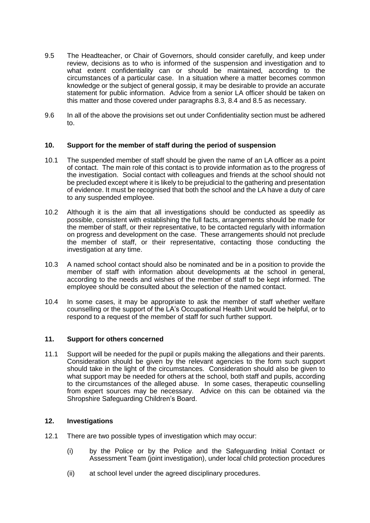- 9.5 The Headteacher, or Chair of Governors, should consider carefully, and keep under review, decisions as to who is informed of the suspension and investigation and to what extent confidentiality can or should be maintained, according to the circumstances of a particular case. In a situation where a matter becomes common knowledge or the subject of general gossip, it may be desirable to provide an accurate statement for public information. Advice from a senior LA officer should be taken on this matter and those covered under paragraphs 8.3, 8.4 and 8.5 as necessary.
- 9.6 In all of the above the provisions set out under Confidentiality section must be adhered to.

#### **10. Support for the member of staff during the period of suspension**

- 10.1 The suspended member of staff should be given the name of an LA officer as a point of contact. The main role of this contact is to provide information as to the progress of the investigation. Social contact with colleagues and friends at the school should not be precluded except where it is likely to be prejudicial to the gathering and presentation of evidence. It must be recognised that both the school and the LA have a duty of care to any suspended employee.
- 10.2 Although it is the aim that all investigations should be conducted as speedily as possible, consistent with establishing the full facts, arrangements should be made for the member of staff, or their representative, to be contacted regularly with information on progress and development on the case. These arrangements should not preclude the member of staff, or their representative, contacting those conducting the investigation at any time.
- 10.3 A named school contact should also be nominated and be in a position to provide the member of staff with information about developments at the school in general, according to the needs and wishes of the member of staff to be kept informed. The employee should be consulted about the selection of the named contact.
- 10.4 In some cases, it may be appropriate to ask the member of staff whether welfare counselling or the support of the LA's Occupational Health Unit would be helpful, or to respond to a request of the member of staff for such further support.

#### **11. Support for others concerned**

11.1 Support will be needed for the pupil or pupils making the allegations and their parents. Consideration should be given by the relevant agencies to the form such support should take in the light of the circumstances. Consideration should also be given to what support may be needed for others at the school, both staff and pupils, according to the circumstances of the alleged abuse. In some cases, therapeutic counselling from expert sources may be necessary. Advice on this can be obtained via the Shropshire Safeguarding Children's Board.

#### **12. Investigations**

- 12.1 There are two possible types of investigation which may occur:
	- (i) by the Police or by the Police and the Safeguarding Initial Contact or Assessment Team (joint investigation), under local child protection procedures
	- (ii) at school level under the agreed disciplinary procedures.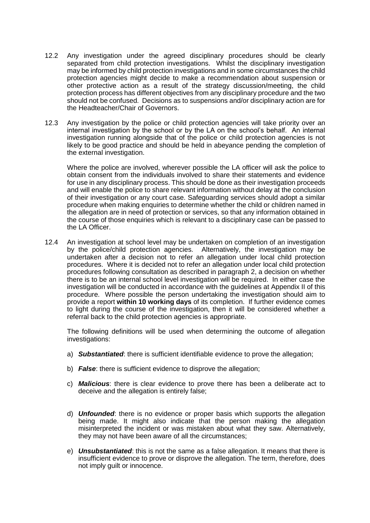- 12.2 Any investigation under the agreed disciplinary procedures should be clearly separated from child protection investigations. Whilst the disciplinary investigation may be informed by child protection investigations and in some circumstances the child protection agencies might decide to make a recommendation about suspension or other protective action as a result of the strategy discussion/meeting, the child protection process has different objectives from any disciplinary procedure and the two should not be confused. Decisions as to suspensions and/or disciplinary action are for the Headteacher/Chair of Governors.
- 12.3 Any investigation by the police or child protection agencies will take priority over an internal investigation by the school or by the LA on the school's behalf. An internal investigation running alongside that of the police or child protection agencies is not likely to be good practice and should be held in abeyance pending the completion of the external investigation.

Where the police are involved, wherever possible the LA officer will ask the police to obtain consent from the individuals involved to share their statements and evidence for use in any disciplinary process. This should be done as their investigation proceeds and will enable the police to share relevant information without delay at the conclusion of their investigation or any court case. Safeguarding services should adopt a similar procedure when making enquiries to determine whether the child or children named in the allegation are in need of protection or services, so that any information obtained in the course of those enquiries which is relevant to a disciplinary case can be passed to the LA Officer.

12.4 An investigation at school level may be undertaken on completion of an investigation by the police/child protection agencies. Alternatively, the investigation may be undertaken after a decision not to refer an allegation under local child protection procedures. Where it is decided not to refer an allegation under local child protection procedures following consultation as described in paragraph 2, a decision on whether there is to be an internal school level investigation will be required. In either case the investigation will be conducted in accordance with the guidelines at Appendix II of this procedure. Where possible the person undertaking the investigation should aim to provide a report **within 10 working days** of its completion. If further evidence comes to light during the course of the investigation, then it will be considered whether a referral back to the child protection agencies is appropriate.

The following definitions will be used when determining the outcome of allegation investigations:

- a) *Substantiated*: there is sufficient identifiable evidence to prove the allegation;
- b) *False*: there is sufficient evidence to disprove the allegation;
- c) *Malicious*: there is clear evidence to prove there has been a deliberate act to deceive and the allegation is entirely false;
- d) *Unfounded*: there is no evidence or proper basis which supports the allegation being made. It might also indicate that the person making the allegation misinterpreted the incident or was mistaken about what they saw. Alternatively, they may not have been aware of all the circumstances;
- e) *Unsubstantiated*: this is not the same as a false allegation. It means that there is insufficient evidence to prove or disprove the allegation. The term, therefore, does not imply guilt or innocence.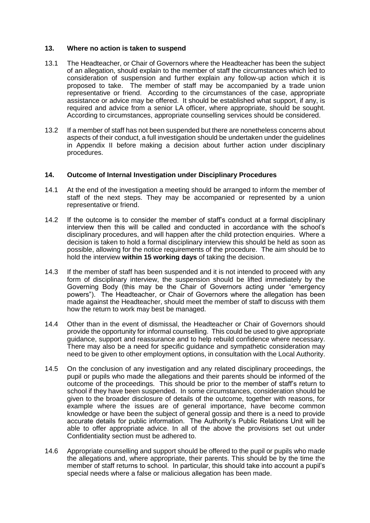#### **13. Where no action is taken to suspend**

- 13.1 The Headteacher, or Chair of Governors where the Headteacher has been the subject of an allegation, should explain to the member of staff the circumstances which led to consideration of suspension and further explain any follow-up action which it is proposed to take. The member of staff may be accompanied by a trade union representative or friend. According to the circumstances of the case, appropriate assistance or advice may be offered. It should be established what support, if any, is required and advice from a senior LA officer, where appropriate, should be sought. According to circumstances, appropriate counselling services should be considered.
- 13.2 If a member of staff has not been suspended but there are nonetheless concerns about aspects of their conduct, a full investigation should be undertaken under the guidelines in Appendix II before making a decision about further action under disciplinary procedures.

#### **14. Outcome of Internal Investigation under Disciplinary Procedures**

- 14.1 At the end of the investigation a meeting should be arranged to inform the member of staff of the next steps. They may be accompanied or represented by a union representative or friend.
- 14.2 If the outcome is to consider the member of staff's conduct at a formal disciplinary interview then this will be called and conducted in accordance with the school's disciplinary procedures, and will happen after the child protection enquiries. Where a decision is taken to hold a formal disciplinary interview this should be held as soon as possible, allowing for the notice requirements of the procedure. The aim should be to hold the interview **within 15 working days** of taking the decision.
- 14.3 If the member of staff has been suspended and it is not intended to proceed with any form of disciplinary interview, the suspension should be lifted immediately by the Governing Body (this may be the Chair of Governors acting under "emergency powers"). The Headteacher, or Chair of Governors where the allegation has been made against the Headteacher, should meet the member of staff to discuss with them how the return to work may best be managed.
- 14.4 Other than in the event of dismissal, the Headteacher or Chair of Governors should provide the opportunity for informal counselling. This could be used to give appropriate guidance, support and reassurance and to help rebuild confidence where necessary. There may also be a need for specific guidance and sympathetic consideration may need to be given to other employment options, in consultation with the Local Authority.
- 14.5 On the conclusion of any investigation and any related disciplinary proceedings, the pupil or pupils who made the allegations and their parents should be informed of the outcome of the proceedings. This should be prior to the member of staff's return to school if they have been suspended. In some circumstances, consideration should be given to the broader disclosure of details of the outcome, together with reasons, for example where the issues are of general importance, have become common knowledge or have been the subject of general gossip and there is a need to provide accurate details for public information. The Authority's Public Relations Unit will be able to offer appropriate advice. In all of the above the provisions set out under Confidentiality section must be adhered to.
- 14.6 Appropriate counselling and support should be offered to the pupil or pupils who made the allegations and, where appropriate, their parents. This should be by the time the member of staff returns to school. In particular, this should take into account a pupil's special needs where a false or malicious allegation has been made.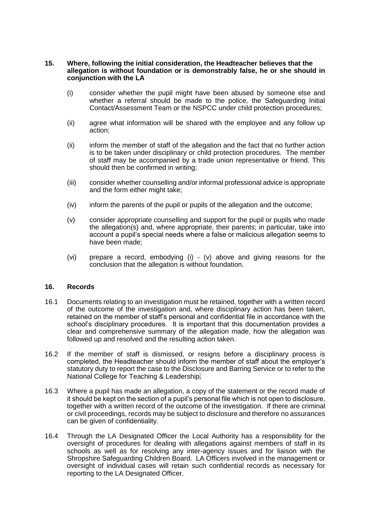#### **15. Where, following the initial consideration, the Headteacher believes that the allegation is without foundation or is demonstrably false, he or she should in conjunction with the LA**

- (i) consider whether the pupil might have been abused by someone else and whether a referral should be made to the police, the Safeguarding Initial Contact/Assessment Team or the NSPCC under child protection procedures;
- (ii) agree what information will be shared with the employee and any follow up action;
- (ii) inform the member of staff of the allegation and the fact that no further action is to be taken under disciplinary or child protection procedures. The member of staff may be accompanied by a trade union representative or friend. This should then be confirmed in writing;
- (iii) consider whether counselling and/or informal professional advice is appropriate and the form either might take;
- (iv) inform the parents of the pupil or pupils of the allegation and the outcome;
- (v) consider appropriate counselling and support for the pupil or pupils who made the allegation(s) and, where appropriate, their parents; in particular, take into account a pupil's special needs where a false or malicious allegation seems to have been made;
- (vi) prepare a record, embodying (i) (v) above and giving reasons for the conclusion that the allegation is without foundation.

#### **16. Records**

- 16.1 Documents relating to an investigation must be retained, together with a written record of the outcome of the investigation and, where disciplinary action has been taken, retained on the member of staff's personal and confidential file in accordance with the school's disciplinary procedures. It is important that this documentation provides a clear and comprehensive summary of the allegation made, how the allegation was followed up and resolved and the resulting action taken.
- 16.2 If the member of staff is dismissed, or resigns before a disciplinary process is completed, the Headteacher should inform the member of staff about the employer's statutory duty to report the case to the Disclosure and Barring Service or to refer to the National College for Teaching & Leadership.
- 16.3 Where a pupil has made an allegation, a copy of the statement or the record made of it should be kept on the section of a pupil's personal file which is not open to disclosure, together with a written record of the outcome of the investigation. If there are criminal or civil proceedings, records may be subject to disclosure and therefore no assurances can be given of confidentiality.
- 16.4 Through the LA Designated Officer the Local Authority has a responsibility for the oversight of procedures for dealing with allegations against members of staff in its schools as well as for resolving any inter-agency issues and for liaison with the Shropshire Safeguarding Children Board. LA Officers involved in the management or oversight of individual cases will retain such confidential records as necessary for reporting to the LA Designated Officer.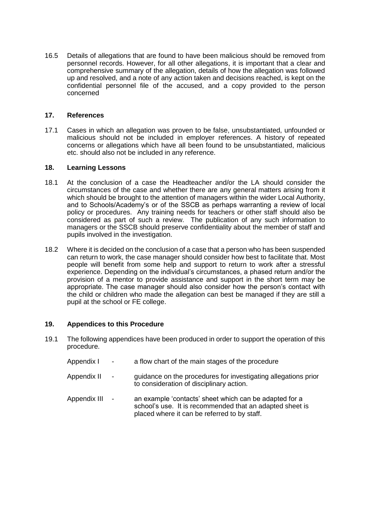16.5 Details of allegations that are found to have been malicious should be removed from personnel records. However, for all other allegations, it is important that a clear and comprehensive summary of the allegation, details of how the allegation was followed up and resolved, and a note of any action taken and decisions reached, is kept on the confidential personnel file of the accused, and a copy provided to the person concerned

#### **17. References**

17.1 Cases in which an allegation was proven to be false, unsubstantiated, unfounded or malicious should not be included in employer references. A history of repeated concerns or allegations which have all been found to be unsubstantiated, malicious etc. should also not be included in any reference.

#### **18. Learning Lessons**

- 18.1 At the conclusion of a case the Headteacher and/or the LA should consider the circumstances of the case and whether there are any general matters arising from it which should be brought to the attention of managers within the wider Local Authority, and to Schools/Academy's or of the SSCB as perhaps warranting a review of local policy or procedures. Any training needs for teachers or other staff should also be considered as part of such a review. The publication of any such information to managers or the SSCB should preserve confidentiality about the member of staff and pupils involved in the investigation.
- 18.2 Where it is decided on the conclusion of a case that a person who has been suspended can return to work, the case manager should consider how best to facilitate that. Most people will benefit from some help and support to return to work after a stressful experience. Depending on the individual's circumstances, a phased return and/or the provision of a mentor to provide assistance and support in the short term may be appropriate. The case manager should also consider how the person's contact with the child or children who made the allegation can best be managed if they are still a pupil at the school or FE college.

#### **19. Appendices to this Procedure**

- 19.1 The following appendices have been produced in order to support the operation of this procedure.
	- Appendix I a flow chart of the main stages of the procedure
	- Appendix II guidance on the procedures for investigating allegations prior to consideration of disciplinary action.
	- Appendix III an example 'contacts' sheet which can be adapted for a school's use. It is recommended that an adapted sheet is placed where it can be referred to by staff.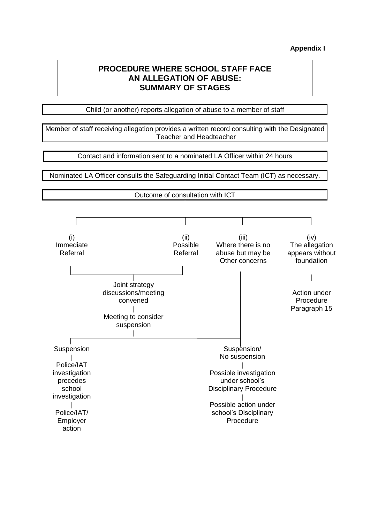## **PROCEDURE WHERE SCHOOL STAFF FACE AN ALLEGATION OF ABUSE: SUMMARY OF STAGES**

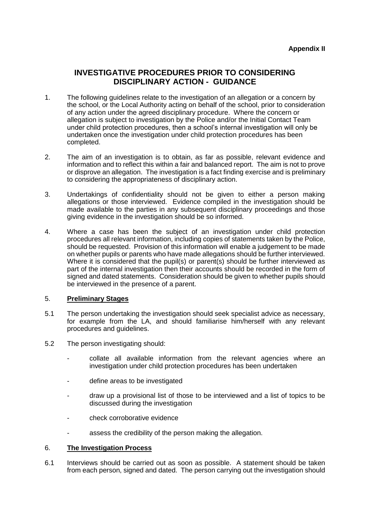## **INVESTIGATIVE PROCEDURES PRIOR TO CONSIDERING DISCIPLINARY ACTION - GUIDANCE**

- 1. The following guidelines relate to the investigation of an allegation or a concern by the school, or the Local Authority acting on behalf of the school, prior to consideration of any action under the agreed disciplinary procedure. Where the concern or allegation is subject to investigation by the Police and/or the Initial Contact Team under child protection procedures, then a school's internal investigation will only be undertaken once the investigation under child protection procedures has been completed.
- 2. The aim of an investigation is to obtain, as far as possible, relevant evidence and information and to reflect this within a fair and balanced report. The aim is not to prove or disprove an allegation. The investigation is a fact finding exercise and is preliminary to considering the appropriateness of disciplinary action.
- 3. Undertakings of confidentiality should not be given to either a person making allegations or those interviewed. Evidence compiled in the investigation should be made available to the parties in any subsequent disciplinary proceedings and those giving evidence in the investigation should be so informed.
- 4. Where a case has been the subject of an investigation under child protection procedures all relevant information, including copies of statements taken by the Police, should be requested. Provision of this information will enable a judgement to be made on whether pupils or parents who have made allegations should be further interviewed. Where it is considered that the pupil(s) or parent(s) should be further interviewed as part of the internal investigation then their accounts should be recorded in the form of signed and dated statements. Consideration should be given to whether pupils should be interviewed in the presence of a parent.

#### 5. **Preliminary Stages**

- 5.1 The person undertaking the investigation should seek specialist advice as necessary, for example from the LA, and should familiarise him/herself with any relevant procedures and guidelines.
- 5.2 The person investigating should:
	- collate all available information from the relevant agencies where an investigation under child protection procedures has been undertaken
	- define areas to be investigated
	- draw up a provisional list of those to be interviewed and a list of topics to be discussed during the investigation
	- check corroborative evidence
	- assess the credibility of the person making the allegation.

#### 6. **The Investigation Process**

6.1 Interviews should be carried out as soon as possible. A statement should be taken from each person, signed and dated. The person carrying out the investigation should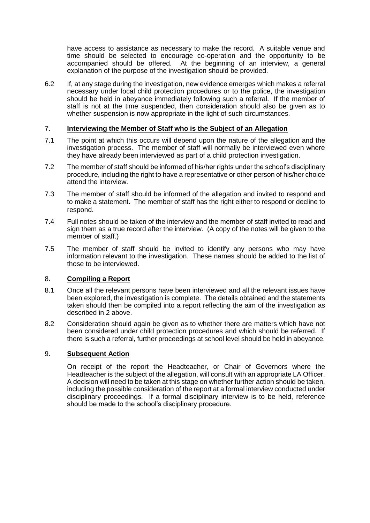have access to assistance as necessary to make the record. A suitable venue and time should be selected to encourage co-operation and the opportunity to be accompanied should be offered. At the beginning of an interview, a general explanation of the purpose of the investigation should be provided.

6.2 If, at any stage during the investigation, new evidence emerges which makes a referral necessary under local child protection procedures or to the police, the investigation should be held in abeyance immediately following such a referral. If the member of staff is not at the time suspended, then consideration should also be given as to whether suspension is now appropriate in the light of such circumstances.

#### 7. **Interviewing the Member of Staff who is the Subject of an Allegation**

- 7.1 The point at which this occurs will depend upon the nature of the allegation and the investigation process. The member of staff will normally be interviewed even where they have already been interviewed as part of a child protection investigation.
- 7.2 The member of staff should be informed of his/her rights under the school's disciplinary procedure, including the right to have a representative or other person of his/her choice attend the interview.
- 7.3 The member of staff should be informed of the allegation and invited to respond and to make a statement. The member of staff has the right either to respond or decline to respond.
- 7.4 Full notes should be taken of the interview and the member of staff invited to read and sign them as a true record after the interview. (A copy of the notes will be given to the member of staff.)
- 7.5 The member of staff should be invited to identify any persons who may have information relevant to the investigation. These names should be added to the list of those to be interviewed.

#### 8. **Compiling a Report**

- 8.1 Once all the relevant persons have been interviewed and all the relevant issues have been explored, the investigation is complete. The details obtained and the statements taken should then be compiled into a report reflecting the aim of the investigation as described in 2 above.
- 8.2 Consideration should again be given as to whether there are matters which have not been considered under child protection procedures and which should be referred. If there is such a referral, further proceedings at school level should be held in abeyance.

#### 9. **Subsequent Action**

On receipt of the report the Headteacher, or Chair of Governors where the Headteacher is the subject of the allegation, will consult with an appropriate LA Officer. A decision will need to be taken at this stage on whether further action should be taken, including the possible consideration of the report at a formal interview conducted under disciplinary proceedings. If a formal disciplinary interview is to be held, reference should be made to the school's disciplinary procedure.